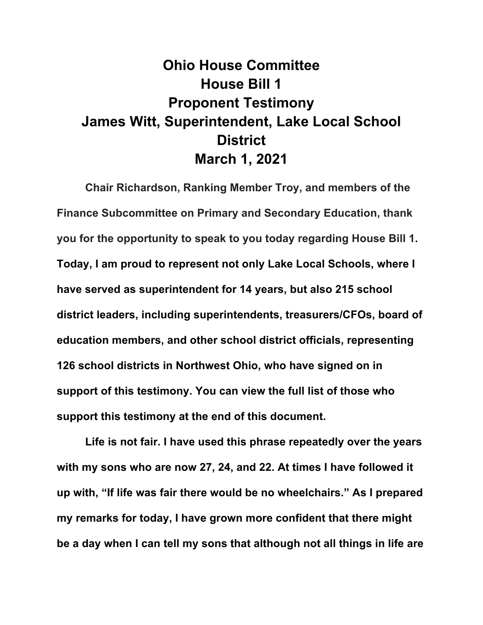## **Ohio House Committee House Bill 1 Proponent Testimony James Witt, Superintendent, Lake Local School District March 1, 2021**

**Chair Richardson, Ranking Member Troy, and members of the Finance Subcommittee on Primary and Secondary Education, thank you for the opportunity to speak to you today regarding House Bill 1. Today, I am proud to represent not only Lake Local Schools, where I have served as superintendent for 14 years, but also 215 school district leaders, including superintendents, treasurers/CFOs, board of education members, and other school district officials, representing 126 school districts in Northwest Ohio, who have signed on in support of this testimony. You can view the full list of those who support this testimony at the end of this document.**

**Life is not fair. I have used this phrase repeatedly over the years with my sons who are now 27, 24, and 22. At times I have followed it up with, "If life was fair there would be no wheelchairs." As I prepared my remarks for today, I have grown more confident that there might be a day when I can tell my sons that although not all things in life are**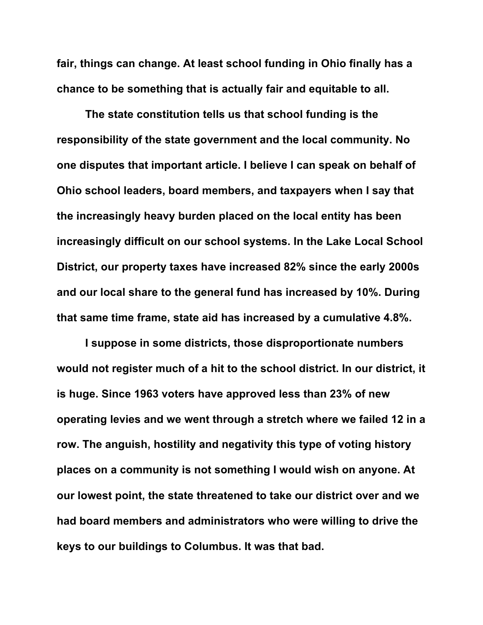**fair, things can change. At least school funding in Ohio finally has a chance to be something that is actually fair and equitable to all.**

**The state constitution tells us that school funding is the responsibility of the state government and the local community. No one disputes that important article. I believe I can speak on behalf of Ohio school leaders, board members, and taxpayers when I say that the increasingly heavy burden placed on the local entity has been increasingly difficult on our school systems. In the Lake Local School District, our property taxes have increased 82% since the early 2000s and our local share to the general fund has increased by 10%. During that same time frame, state aid has increased by a cumulative 4.8%.** 

**I suppose in some districts, those disproportionate numbers would not register much of a hit to the school district. In our district, it is huge. Since 1963 voters have approved less than 23% of new operating levies and we went through a stretch where we failed 12 in a row. The anguish, hostility and negativity this type of voting history places on a community is not something I would wish on anyone. At our lowest point, the state threatened to take our district over and we had board members and administrators who were willing to drive the keys to our buildings to Columbus. It was that bad.**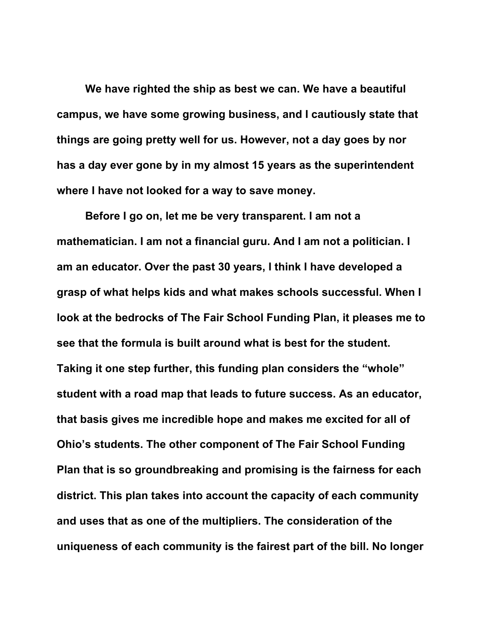**We have righted the ship as best we can. We have a beautiful campus, we have some growing business, and I cautiously state that things are going pretty well for us. However, not a day goes by nor has a day ever gone by in my almost 15 years as the superintendent where I have not looked for a way to save money.**

**Before I go on, let me be very transparent. I am not a mathematician. I am not a financial guru. And I am not a politician. I am an educator. Over the past 30 years, I think I have developed a grasp of what helps kids and what makes schools successful. When I look at the bedrocks of The Fair School Funding Plan, it pleases me to see that the formula is built around what is best for the student. Taking it one step further, this funding plan considers the "whole" student with a road map that leads to future success. As an educator, that basis gives me incredible hope and makes me excited for all of Ohio's students. The other component of The Fair School Funding Plan that is so groundbreaking and promising is the fairness for each district. This plan takes into account the capacity of each community and uses that as one of the multipliers. The consideration of the uniqueness of each community is the fairest part of the bill. No longer**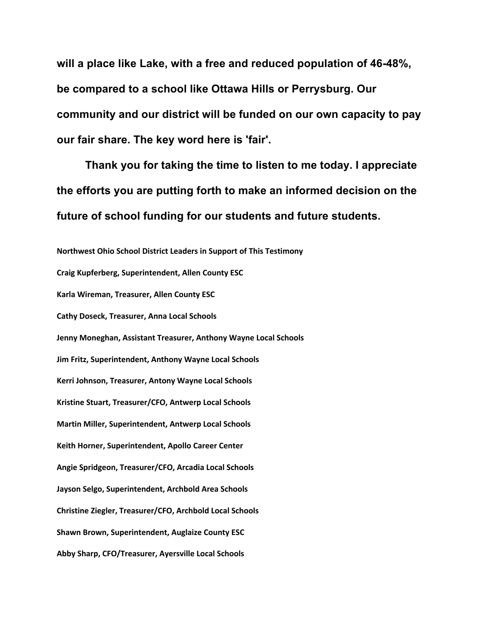**will a place like Lake, with a free and reduced population of 46-48%, be compared to a school like Ottawa Hills or Perrysburg. Our community and our district will be funded on our own capacity to pay our fair share. The key word here is 'fair'.** 

**Thank you for taking the time to listen to me today. I appreciate the efforts you are putting forth to make an informed decision on the future of school funding for our students and future students.**

**Northwest Ohio School District Leaders in Support of This Testimony Craig Kupferberg, Superintendent, Allen County ESC Karla Wireman, Treasurer, Allen County ESC Cathy Doseck, Treasurer, Anna Local Schools Jenny Moneghan, Assistant Treasurer, Anthony Wayne Local Schools Jim Fritz, Superintendent, Anthony Wayne Local Schools Kerri Johnson, Treasurer, Antony Wayne Local Schools Kristine Stuart, Treasurer/CFO, Antwerp Local Schools Martin Miller, Superintendent, Antwerp Local Schools Keith Horner, Superintendent, Apollo Career Center Angie Spridgeon, Treasurer/CFO, Arcadia Local Schools Jayson Selgo, Superintendent, Archbold Area Schools Christine Ziegler, Treasurer/CFO, Archbold Local Schools Shawn Brown, Superintendent, Auglaize County ESC Abby Sharp, CFO/Treasurer, Ayersville Local Schools**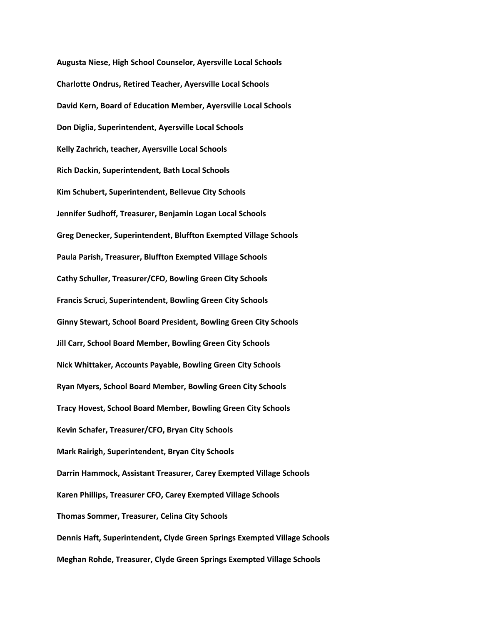**Augusta Niese, High School Counselor, Ayersville Local Schools Charlotte Ondrus, Retired Teacher, Ayersville Local Schools David Kern, Board of Education Member, Ayersville Local Schools Don Diglia, Superintendent, Ayersville Local Schools Kelly Zachrich, teacher, Ayersville Local Schools Rich Dackin, Superintendent, Bath Local Schools Kim Schubert, Superintendent, Bellevue City Schools Jennifer Sudhoff, Treasurer, Benjamin Logan Local Schools Greg Denecker, Superintendent, Bluffton Exempted Village Schools Paula Parish, Treasurer, Bluffton Exempted Village Schools Cathy Schuller, Treasurer/CFO, Bowling Green City Schools Francis Scruci, Superintendent, Bowling Green City Schools Ginny Stewart, School Board President, Bowling Green City Schools Jill Carr, School Board Member, Bowling Green City Schools Nick Whittaker, Accounts Payable, Bowling Green City Schools Ryan Myers, School Board Member, Bowling Green City Schools Tracy Hovest, School Board Member, Bowling Green City Schools Kevin Schafer, Treasurer/CFO, Bryan City Schools Mark Rairigh, Superintendent, Bryan City Schools Darrin Hammock, Assistant Treasurer, Carey Exempted Village Schools Karen Phillips, Treasurer CFO, Carey Exempted Village Schools Thomas Sommer, Treasurer, Celina City Schools Dennis Haft, Superintendent, Clyde Green Springs Exempted Village Schools Meghan Rohde, Treasurer, Clyde Green Springs Exempted Village Schools**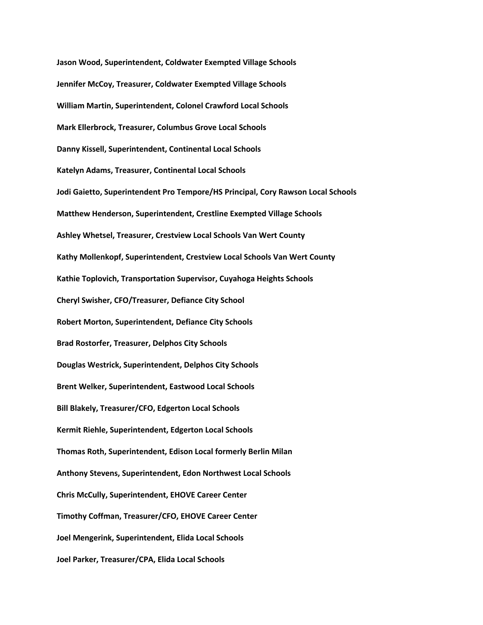**Jason Wood, Superintendent, Coldwater Exempted Village Schools Jennifer McCoy, Treasurer, Coldwater Exempted Village Schools William Martin, Superintendent, Colonel Crawford Local Schools Mark Ellerbrock, Treasurer, Columbus Grove Local Schools Danny Kissell, Superintendent, Continental Local Schools Katelyn Adams, Treasurer, Continental Local Schools Jodi Gaietto, Superintendent Pro Tempore/HS Principal, Cory Rawson Local Schools Matthew Henderson, Superintendent, Crestline Exempted Village Schools Ashley Whetsel, Treasurer, Crestview Local Schools Van Wert County Kathy Mollenkopf, Superintendent, Crestview Local Schools Van Wert County Kathie Toplovich, Transportation Supervisor, Cuyahoga Heights Schools Cheryl Swisher, CFO/Treasurer, Defiance City School Robert Morton, Superintendent, Defiance City Schools Brad Rostorfer, Treasurer, Delphos City Schools Douglas Westrick, Superintendent, Delphos City Schools Brent Welker, Superintendent, Eastwood Local Schools Bill Blakely, Treasurer/CFO, Edgerton Local Schools Kermit Riehle, Superintendent, Edgerton Local Schools Thomas Roth, Superintendent, Edison Local formerly Berlin Milan Anthony Stevens, Superintendent, Edon Northwest Local Schools Chris McCully, Superintendent, EHOVE Career Center Timothy Coffman, Treasurer/CFO, EHOVE Career Center Joel Mengerink, Superintendent, Elida Local Schools Joel Parker, Treasurer/CPA, Elida Local Schools**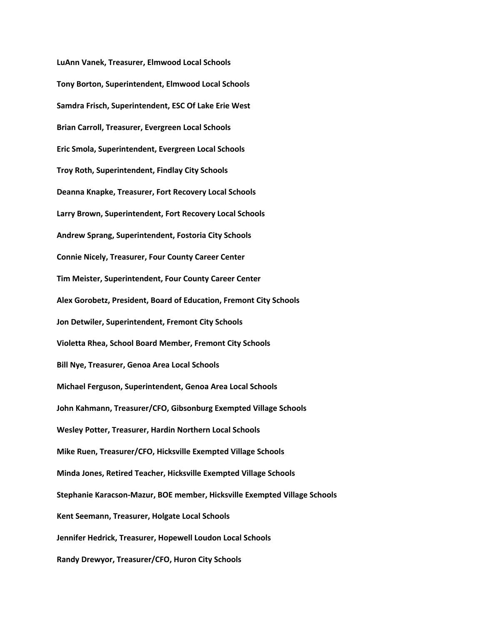**LuAnn Vanek, Treasurer, Elmwood Local Schools Tony Borton, Superintendent, Elmwood Local Schools Samdra Frisch, Superintendent, ESC Of Lake Erie West Brian Carroll, Treasurer, Evergreen Local Schools Eric Smola, Superintendent, Evergreen Local Schools Troy Roth, Superintendent, Findlay City Schools Deanna Knapke, Treasurer, Fort Recovery Local Schools Larry Brown, Superintendent, Fort Recovery Local Schools Andrew Sprang, Superintendent, Fostoria City Schools Connie Nicely, Treasurer, Four County Career Center Tim Meister, Superintendent, Four County Career Center Alex Gorobetz, President, Board of Education, Fremont City Schools Jon Detwiler, Superintendent, Fremont City Schools Violetta Rhea, School Board Member, Fremont City Schools Bill Nye, Treasurer, Genoa Area Local Schools Michael Ferguson, Superintendent, Genoa Area Local Schools John Kahmann, Treasurer/CFO, Gibsonburg Exempted Village Schools Wesley Potter, Treasurer, Hardin Northern Local Schools Mike Ruen, Treasurer/CFO, Hicksville Exempted Village Schools Minda Jones, Retired Teacher, Hicksville Exempted Village Schools Stephanie Karacson-Mazur, BOE member, Hicksville Exempted Village Schools Kent Seemann, Treasurer, Holgate Local Schools Jennifer Hedrick, Treasurer, Hopewell Loudon Local Schools Randy Drewyor, Treasurer/CFO, Huron City Schools**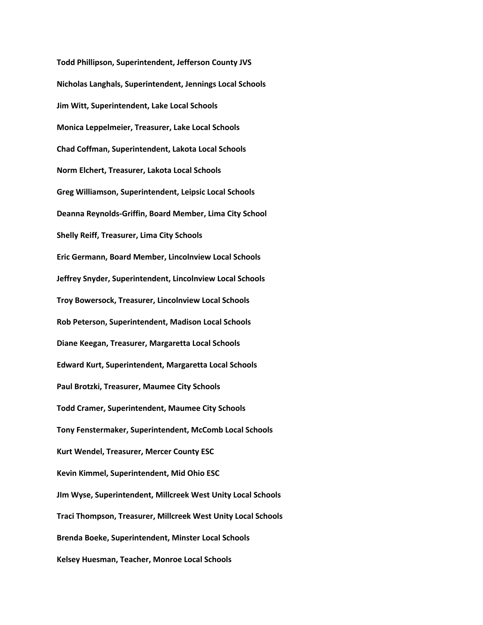**Todd Phillipson, Superintendent, Jefferson County JVS Nicholas Langhals, Superintendent, Jennings Local Schools Jim Witt, Superintendent, Lake Local Schools Monica Leppelmeier, Treasurer, Lake Local Schools Chad Coffman, Superintendent, Lakota Local Schools Norm Elchert, Treasurer, Lakota Local Schools Greg Williamson, Superintendent, Leipsic Local Schools Deanna Reynolds-Griffin, Board Member, Lima City School Shelly Reiff, Treasurer, Lima City Schools Eric Germann, Board Member, Lincolnview Local Schools Jeffrey Snyder, Superintendent, Lincolnview Local Schools Troy Bowersock, Treasurer, Lincolnview Local Schools Rob Peterson, Superintendent, Madison Local Schools Diane Keegan, Treasurer, Margaretta Local Schools Edward Kurt, Superintendent, Margaretta Local Schools Paul Brotzki, Treasurer, Maumee City Schools Todd Cramer, Superintendent, Maumee City Schools Tony Fenstermaker, Superintendent, McComb Local Schools Kurt Wendel, Treasurer, Mercer County ESC Kevin Kimmel, Superintendent, Mid Ohio ESC JIm Wyse, Superintendent, Millcreek West Unity Local Schools Traci Thompson, Treasurer, Millcreek West Unity Local Schools Brenda Boeke, Superintendent, Minster Local Schools Kelsey Huesman, Teacher, Monroe Local Schools**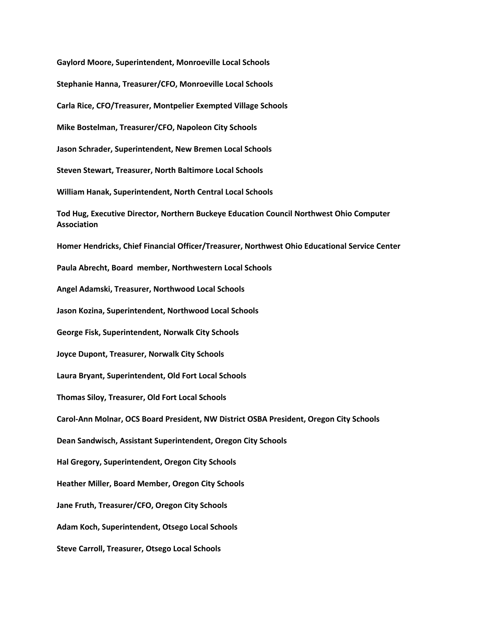**Gaylord Moore, Superintendent, Monroeville Local Schools Stephanie Hanna, Treasurer/CFO, Monroeville Local Schools Carla Rice, CFO/Treasurer, Montpelier Exempted Village Schools Mike Bostelman, Treasurer/CFO, Napoleon City Schools Jason Schrader, Superintendent, New Bremen Local Schools Steven Stewart, Treasurer, North Baltimore Local Schools William Hanak, Superintendent, North Central Local Schools Tod Hug, Executive Director, Northern Buckeye Education Council Northwest Ohio Computer Association Homer Hendricks, Chief Financial Officer/Treasurer, Northwest Ohio Educational Service Center Paula Abrecht, Board member, Northwestern Local Schools Angel Adamski, Treasurer, Northwood Local Schools Jason Kozina, Superintendent, Northwood Local Schools George Fisk, Superintendent, Norwalk City Schools Joyce Dupont, Treasurer, Norwalk City Schools Laura Bryant, Superintendent, Old Fort Local Schools Thomas Siloy, Treasurer, Old Fort Local Schools Carol-Ann Molnar, OCS Board President, NW District OSBA President, Oregon City Schools Dean Sandwisch, Assistant Superintendent, Oregon City Schools Hal Gregory, Superintendent, Oregon City Schools Heather Miller, Board Member, Oregon City Schools Jane Fruth, Treasurer/CFO, Oregon City Schools Adam Koch, Superintendent, Otsego Local Schools Steve Carroll, Treasurer, Otsego Local Schools**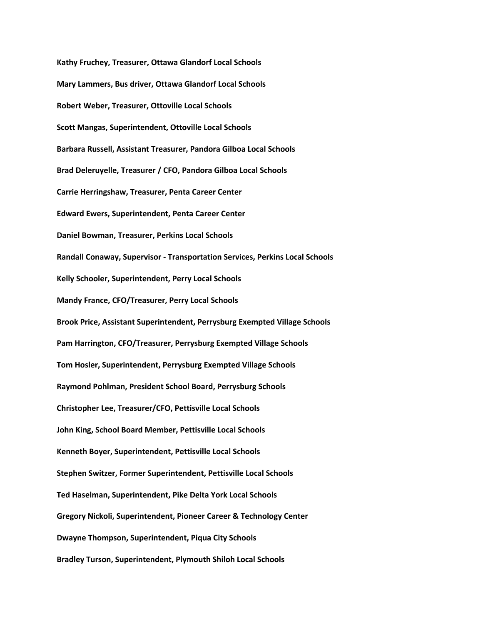**Kathy Fruchey, Treasurer, Ottawa Glandorf Local Schools Mary Lammers, Bus driver, Ottawa Glandorf Local Schools Robert Weber, Treasurer, Ottoville Local Schools Scott Mangas, Superintendent, Ottoville Local Schools Barbara Russell, Assistant Treasurer, Pandora Gilboa Local Schools Brad Deleruyelle, Treasurer / CFO, Pandora Gilboa Local Schools Carrie Herringshaw, Treasurer, Penta Career Center Edward Ewers, Superintendent, Penta Career Center Daniel Bowman, Treasurer, Perkins Local Schools Randall Conaway, Supervisor - Transportation Services, Perkins Local Schools Kelly Schooler, Superintendent, Perry Local Schools Mandy France, CFO/Treasurer, Perry Local Schools Brook Price, Assistant Superintendent, Perrysburg Exempted Village Schools Pam Harrington, CFO/Treasurer, Perrysburg Exempted Village Schools Tom Hosler, Superintendent, Perrysburg Exempted Village Schools Raymond Pohlman, President School Board, Perrysburg Schools Christopher Lee, Treasurer/CFO, Pettisville Local Schools John King, School Board Member, Pettisville Local Schools Kenneth Boyer, Superintendent, Pettisville Local Schools Stephen Switzer, Former Superintendent, Pettisville Local Schools Ted Haselman, Superintendent, Pike Delta York Local Schools Gregory Nickoli, Superintendent, Pioneer Career & Technology Center Dwayne Thompson, Superintendent, Piqua City Schools Bradley Turson, Superintendent, Plymouth Shiloh Local Schools**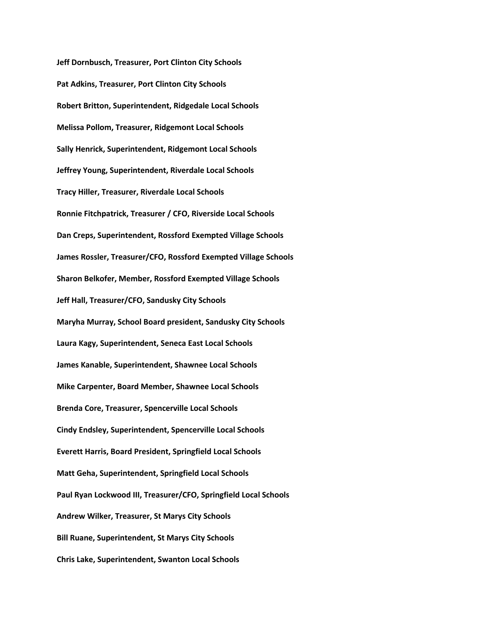**Jeff Dornbusch, Treasurer, Port Clinton City Schools Pat Adkins, Treasurer, Port Clinton City Schools Robert Britton, Superintendent, Ridgedale Local Schools Melissa Pollom, Treasurer, Ridgemont Local Schools Sally Henrick, Superintendent, Ridgemont Local Schools Jeffrey Young, Superintendent, Riverdale Local Schools Tracy Hiller, Treasurer, Riverdale Local Schools Ronnie Fitchpatrick, Treasurer / CFO, Riverside Local Schools Dan Creps, Superintendent, Rossford Exempted Village Schools James Rossler, Treasurer/CFO, Rossford Exempted Village Schools Sharon Belkofer, Member, Rossford Exempted Village Schools Jeff Hall, Treasurer/CFO, Sandusky City Schools Maryha Murray, School Board president, Sandusky City Schools Laura Kagy, Superintendent, Seneca East Local Schools James Kanable, Superintendent, Shawnee Local Schools Mike Carpenter, Board Member, Shawnee Local Schools Brenda Core, Treasurer, Spencerville Local Schools Cindy Endsley, Superintendent, Spencerville Local Schools Everett Harris, Board President, Springfield Local Schools Matt Geha, Superintendent, Springfield Local Schools Paul Ryan Lockwood III, Treasurer/CFO, Springfield Local Schools Andrew Wilker, Treasurer, St Marys City Schools Bill Ruane, Superintendent, St Marys City Schools Chris Lake, Superintendent, Swanton Local Schools**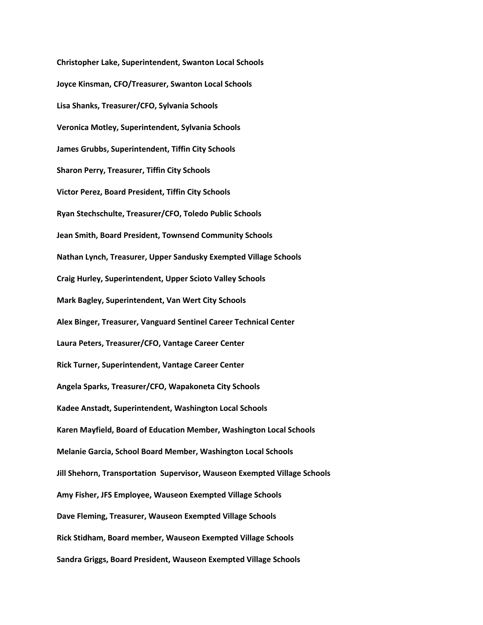**Christopher Lake, Superintendent, Swanton Local Schools Joyce Kinsman, CFO/Treasurer, Swanton Local Schools Lisa Shanks, Treasurer/CFO, Sylvania Schools Veronica Motley, Superintendent, Sylvania Schools James Grubbs, Superintendent, Tiffin City Schools Sharon Perry, Treasurer, Tiffin City Schools Victor Perez, Board President, Tiffin City Schools Ryan Stechschulte, Treasurer/CFO, Toledo Public Schools Jean Smith, Board President, Townsend Community Schools Nathan Lynch, Treasurer, Upper Sandusky Exempted Village Schools Craig Hurley, Superintendent, Upper Scioto Valley Schools Mark Bagley, Superintendent, Van Wert City Schools Alex Binger, Treasurer, Vanguard Sentinel Career Technical Center Laura Peters, Treasurer/CFO, Vantage Career Center Rick Turner, Superintendent, Vantage Career Center Angela Sparks, Treasurer/CFO, Wapakoneta City Schools Kadee Anstadt, Superintendent, Washington Local Schools Karen Mayfield, Board of Education Member, Washington Local Schools Melanie Garcia, School Board Member, Washington Local Schools Jill Shehorn, Transportation Supervisor, Wauseon Exempted Village Schools Amy Fisher, JFS Employee, Wauseon Exempted Village Schools Dave Fleming, Treasurer, Wauseon Exempted Village Schools Rick Stidham, Board member, Wauseon Exempted Village Schools Sandra Griggs, Board President, Wauseon Exempted Village Schools**